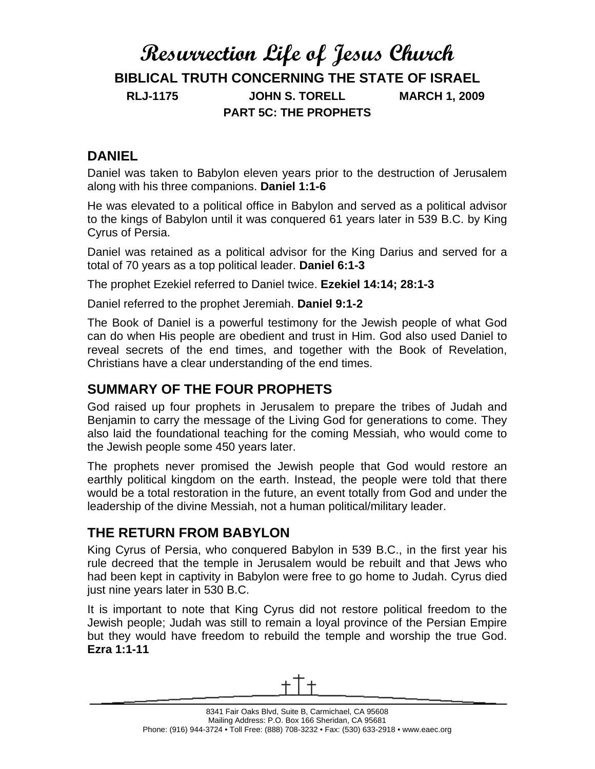# **Resurrection Life of Jesus Church BIBLICAL TRUTH CONCERNING THE STATE OF ISRAEL RLJ-1175 JOHN S. TORELL MARCH 1, 2009 PART 5C: THE PROPHETS**

# **DANIEL**

Daniel was taken to Babylon eleven years prior to the destruction of Jerusalem along with his three companions. **Daniel 1:1-6**

He was elevated to a political office in Babylon and served as a political advisor to the kings of Babylon until it was conquered 61 years later in 539 B.C. by King Cyrus of Persia.

Daniel was retained as a political advisor for the King Darius and served for a total of 70 years as a top political leader. **Daniel 6:1-3**

The prophet Ezekiel referred to Daniel twice. **Ezekiel 14:14; 28:1-3**

Daniel referred to the prophet Jeremiah. **Daniel 9:1-2**

The Book of Daniel is a powerful testimony for the Jewish people of what God can do when His people are obedient and trust in Him. God also used Daniel to reveal secrets of the end times, and together with the Book of Revelation, Christians have a clear understanding of the end times.

# **SUMMARY OF THE FOUR PROPHETS**

God raised up four prophets in Jerusalem to prepare the tribes of Judah and Benjamin to carry the message of the Living God for generations to come. They also laid the foundational teaching for the coming Messiah, who would come to the Jewish people some 450 years later.

The prophets never promised the Jewish people that God would restore an earthly political kingdom on the earth. Instead, the people were told that there would be a total restoration in the future, an event totally from God and under the leadership of the divine Messiah, not a human political/military leader.

# **THE RETURN FROM BABYLON**

King Cyrus of Persia, who conquered Babylon in 539 B.C., in the first year his rule decreed that the temple in Jerusalem would be rebuilt and that Jews who had been kept in captivity in Babylon were free to go home to Judah. Cyrus died just nine years later in 530 B.C.

It is important to note that King Cyrus did not restore political freedom to the Jewish people; Judah was still to remain a loyal province of the Persian Empire but they would have freedom to rebuild the temple and worship the true God. **Ezra 1:1-11**